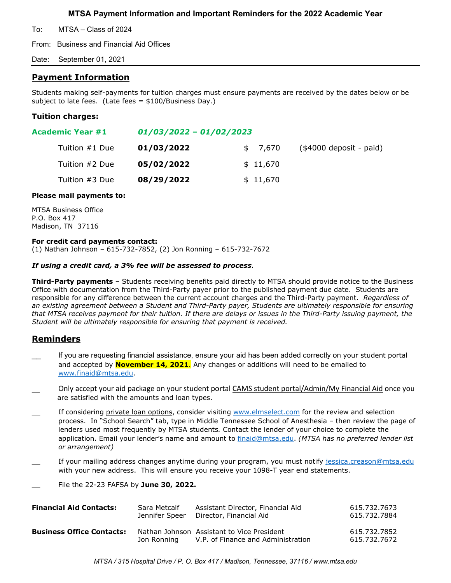**MTSA Payment Information and Important Reminders for the 2022 Academic Year**

To: MTSA – Class of 2024

From: Business and Financial Aid Offices

Date: September 01, 2021

# **Payment Information**

Students making self-payments for tuition charges must ensure payments are received by the dates below or be subject to late fees. (Late fees = \$100/Business Day.)

## **Tuition charges:**

| Academic Year #1 | $01/03/2022 - 01/02/2023$ |          |                          |
|------------------|---------------------------|----------|--------------------------|
| Tuition #1 Due   | 01/03/2022                | \$ 7,670 | $($4000$ deposit - paid) |
| Tuition #2 Due   | 05/02/2022                | \$11,670 |                          |
| Tuition #3 Due   | 08/29/2022                | \$11,670 |                          |

### **Please mail payments to:**

MTSA Business Office P.O. Box 417 Madison, TN 37116

### **For credit card payments contact:**

(1) Nathan Johnson – 615-732-7852, (2) Jon Ronning – 615-732-7672

### *If using a credit card, a 3% fee will be assessed to process.*

**Third-Party payments** – Students receiving benefits paid directly to MTSA should provide notice to the Business Office with documentation from the Third-Party payer prior to the published payment due date. Students are responsible for any difference between the current account charges and the Third-Party payment. *Regardless of an existing agreement between a Student and Third-Party payer, Students are ultimately responsible for ensuring that MTSA receives payment for their tuition. If there are delays or issues in the Third-Party issuing payment, the Student will be ultimately responsible for ensuring that payment is received.*

# **Reminders**

- If you are requesting financial assistance, ensure your aid has been added correctly on your student portal and accepted by **November 14, 2021**. Any changes or additions will need to be emailed to [www.finaid@mtsa.edu.](http://www.finaid@mtsa.edu)
- Only accept your aid package on your student portal CAMS student portal/Admin/My Financial Aid once you are satisfied with the amounts and loan types.
- If considering private loan options, consider visiting [www.elmselect.com](http://www.elmselect.com/) for the review and selection process. In "School Search" tab, type in Middle Tennessee School of Anesthesia – then review the page of lenders used most frequently by MTSA students*.* Contact the lender of your choice to complete the application. Email your lender's name and amount to [finaid@mtsa.edu.](mailto:finaid@mtsa.edu) *(MTSA has no preferred lender list or arrangement)*
- If your mailing address changes anytime during your program, you must notify [jessica.creason@mtsa.edu](mailto:jessica.creason@mtsa.edu) with your new address. This will ensure you receive your 1098-T year end statements.
- \_\_ File the 22-23 FAFSA by **June 30, 2022.**

| <b>Financial Aid Contacts:</b>   | Sara Metcalf   | Assistant Director, Financial Aid                                                | 615.732.7673                 |
|----------------------------------|----------------|----------------------------------------------------------------------------------|------------------------------|
|                                  | Jennifer Speer | Director, Financial Aid                                                          | 615.732.7884                 |
| <b>Business Office Contacts:</b> | Jon Ronnina    | Nathan Johnson Assistant to Vice President<br>V.P. of Finance and Administration | 615.732.7852<br>615.732.7672 |